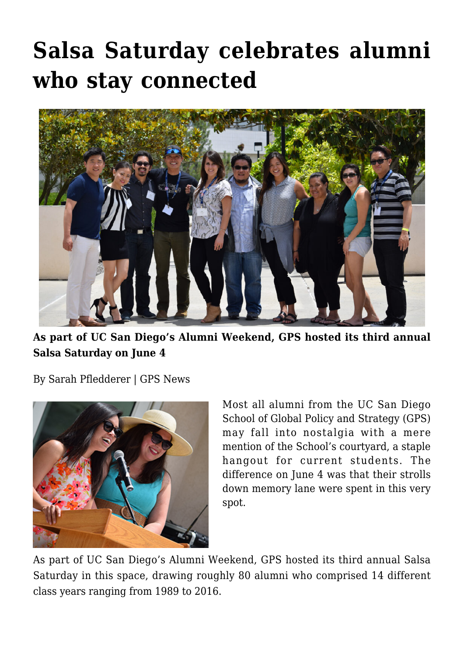## **[Salsa Saturday celebrates alumni](https://gpsnews.ucsd.edu/salsa-saturday-celebrates-alumni-who-stay-connected/) [who stay connected](https://gpsnews.ucsd.edu/salsa-saturday-celebrates-alumni-who-stay-connected/)**



**As part of UC San Diego's Alumni Weekend, GPS hosted its third annual Salsa Saturday on June 4**

By Sarah Pfledderer | GPS News



Most all alumni from the UC San Diego School of Global Policy and Strategy (GPS) may fall into nostalgia with a mere mention of the School's courtyard, a staple hangout for current students. The difference on June 4 was that their strolls down memory lane were spent in this very spot.

As part of UC San Diego's Alumni Weekend, GPS hosted its third annual Salsa Saturday in this space, drawing roughly 80 alumni who comprised 14 different class years ranging from 1989 to 2016.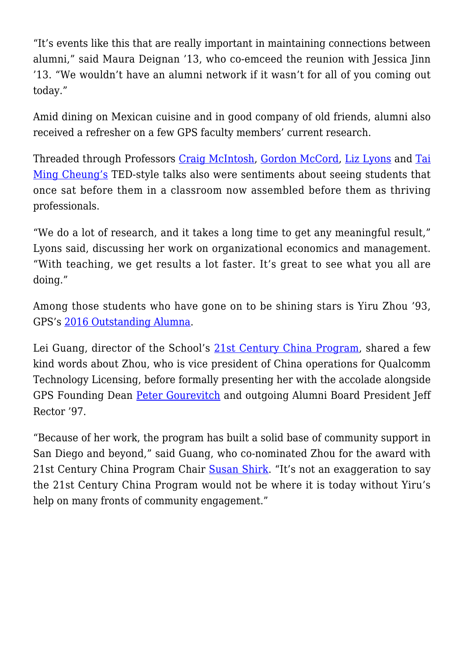"It's events like this that are really important in maintaining connections between alumni," said Maura Deignan '13, who co-emceed the reunion with Jessica Jinn '13. "We wouldn't have an alumni network if it wasn't for all of you coming out today."

Amid dining on Mexican cuisine and in good company of old friends, alumni also received a refresher on a few GPS faculty members' current research.

Threaded through Professors [Craig McIntosh,](https://gps.ucsd.edu/faculty-directory/craig-mcintosh.html) [Gordon McCord,](https://gps.ucsd.edu/faculty-directory/gordon-mccord.html) [Liz Lyons](https://gps.ucsd.edu/faculty-directory/elizabeth-lyons.html) and [Tai](https://gps.ucsd.edu/faculty-directory/tai-ming-cheung.html) [Ming Cheung's](https://gps.ucsd.edu/faculty-directory/tai-ming-cheung.html) TED-style talks also were sentiments about seeing students that once sat before them in a classroom now assembled before them as thriving professionals.

"We do a lot of research, and it takes a long time to get any meaningful result," Lyons said, discussing her work on organizational economics and management. "With teaching, we get results a lot faster. It's great to see what you all are doing."

Among those students who have gone on to be shining stars is Yiru Zhou '93, GPS's [2016 Outstanding Alumna](https://gpsnews.ucsd.edu/yiru-zhou-embraces-the-past-and-shapes-the-future-of-gps.html).

Lei Guang, director of the School's [21st Century China Program,](http://china.ucsd.edu/) shared a few kind words about Zhou, who is vice president of China operations for Qualcomm Technology Licensing, before formally presenting her with the accolade alongside GPS Founding Dean [Peter Gourevitch](https://gps.ucsd.edu/faculty-directory/peter-gourevitch.html) and outgoing Alumni Board President Jeff Rector '97.

"Because of her work, the program has built a solid base of community support in San Diego and beyond," said Guang, who co-nominated Zhou for the award with 21st Century China Program Chair [Susan Shirk.](https://gps.ucsd.edu/faculty-directory/susan-shirk.html) "It's not an exaggeration to say the 21st Century China Program would not be where it is today without Yiru's help on many fronts of community engagement."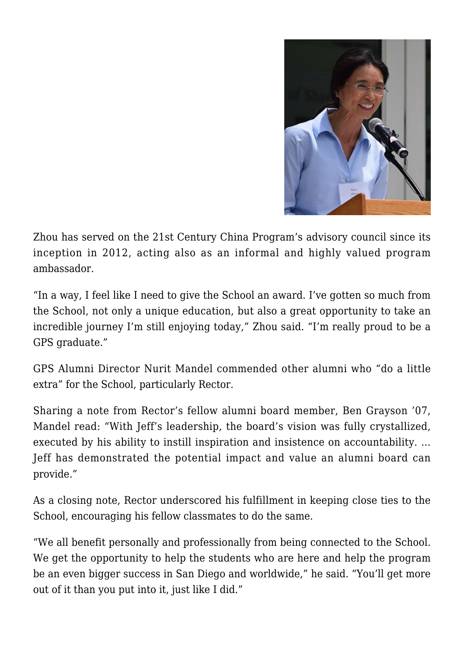

Zhou has served on the 21st Century China Program's advisory council since its inception in 2012, acting also as an informal and highly valued program ambassador.

"In a way, I feel like I need to give the School an award. I've gotten so much from the School, not only a unique education, but also a great opportunity to take an incredible journey I'm still enjoying today," Zhou said. "I'm really proud to be a GPS graduate."

GPS Alumni Director Nurit Mandel commended other alumni who "do a little extra" for the School, particularly Rector.

Sharing a note from Rector's fellow alumni board member, Ben Grayson '07, Mandel read: "With Jeff's leadership, the board's vision was fully crystallized, executed by his ability to instill inspiration and insistence on accountability. … Jeff has demonstrated the potential impact and value an alumni board can provide."

As a closing note, Rector underscored his fulfillment in keeping close ties to the School, encouraging his fellow classmates to do the same.

"We all benefit personally and professionally from being connected to the School. We get the opportunity to help the students who are here and help the program be an even bigger success in San Diego and worldwide," he said. "You'll get more out of it than you put into it, just like I did."